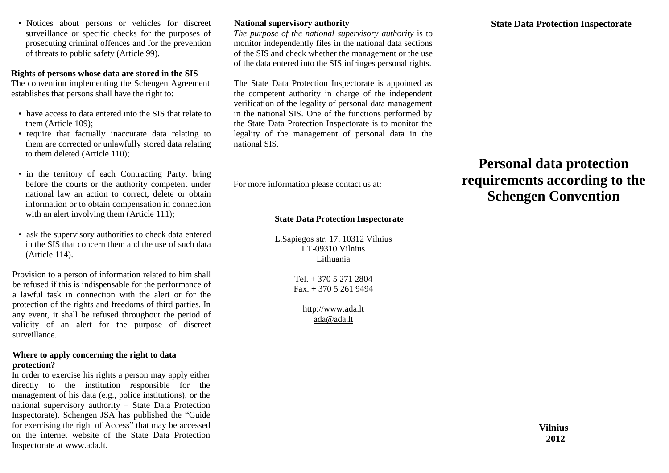• Notices about persons or vehicles for discreet surveillance or specific checks for the purposes of prosecuting criminal offences and for the prevention of threats to public safety (Article 99).

# **Rights of persons whose data are stored in the SIS**

The convention implementing the Schengen Agreement establishes that persons shall have the right to:

- have access to data entered into the SIS that relate to them (Article 109);
- require that factually inaccurate data relating to them are corrected or unlawfully stored data relating to them deleted (Article 110);
- in the territory of each Contracting Party, bring before the courts or the authority competent under national law an action to correct, delete or obtain information or to obtain compensation in connection with an alert involving them (Article 111);
- ask the supervisory authorities to check data entered in the SIS that concern them and the use of such data (Article 114).

Provision to a person of information related to him shall be refused if this is indispensable for the performance of a lawful task in connection with the alert or for the protection of the rights and freedoms of third parties. In any event, it shall be refused throughout the period of validity of an alert for the purpose of discreet surveillance.

# **Where to apply concerning the right to data protection?**

In order to exercise his rights a person may apply either directly to the institution responsible for the management of his data (e.g., police institutions), or the national supervisory authority – State Data Protection Inspectorate). Schengen JSA has published the "Guide for exercising the right of Access" that may be accessed on the internet website of the State Data Protection Inspectorate at www.ada.lt.

## **National supervisory authority**

*The purpose of the national supervisory authority* is to monitor independently files in the national data sections of the SIS and check whether the management or the use of the data entered into the SIS infringes personal rights.

The State Data Protection Inspectorate is appointed as the competent authority in charge of the independent verification of the legality of personal data management in the national SIS. One of the functions performed by the State Data Protection Inspectorate is to monitor the legality of the management of personal data in the national SIS.

For more information please contact us at:

# **State Data Protection Inspectorate**

L.Sapiegos str. 17, 10312 Vilnius LT-09310 Vilnius Lithuania

> Tel. + 370 5 271 2804 Fax. + 370 5 261 9494

> > http://www.ada.lt [ada@ada.lt](mailto:ada@ada.lt)

# **Personal data protection requirements according to the Schengen Convention**